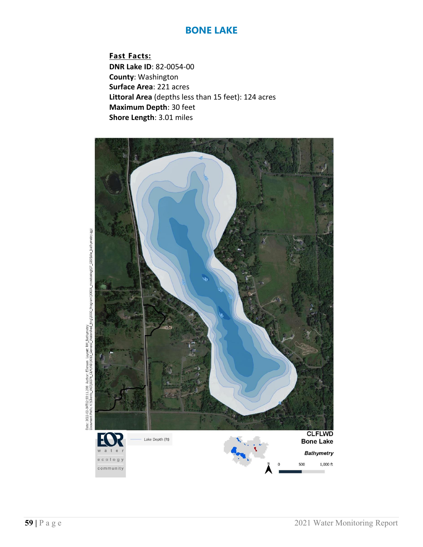**Fast Facts: DNR Lake ID**: 82-0054-00 **County**: Washington **Surface Area**: 221 acres **Littoral Area** (depths less than 15 feet): 124 acres **Maximum Depth**: 30 feet **Shore Length**: 3.01 miles



Date: 2022-02-04T12:33:11.288. Author: Elensen Lavout: RM Bathymetry<br>Document Path: X:\Clients\_WD\0376\_CLEUvD\0010\_General\_Watershed\_Eng\3000\_Program\3003A\_mon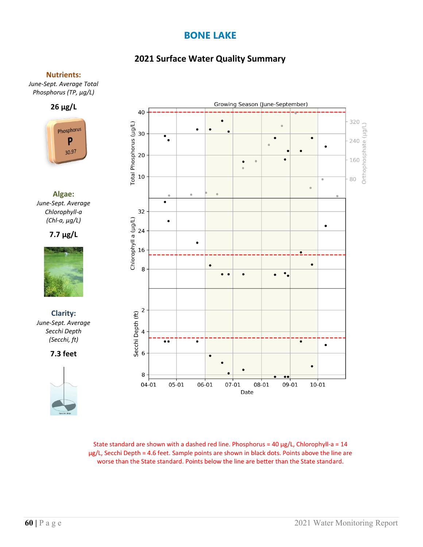# **2021 Surface Water Quality Summary**

### **Nutrients:**

*June-Sept. Average Total Phosphorus (TP, µg/L)*





**Algae:** *June-Sept. Average Chlorophyll-a (Chl-a, µg/L)*

**7.7 µg/L**



**Clarity:**  *June-Sept. Average Secchi Depth (Secchi, ft)*

**7.3 feet**





State standard are shown with a dashed red line. Phosphorus =  $40 \mu g/L$ , Chlorophyll-a =  $14$ µg/L, Secchi Depth = 4.6 feet. Sample points are shown in black dots. Points above the line are worse than the State standard. Points below the line are better than the State standard.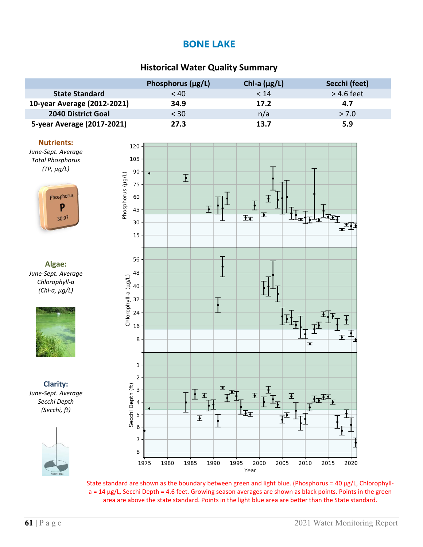## **Historical Water Quality Summary**

|                             | Phosphorus $(\mu g/L)$ | Chl-a $(\mu g/L)$ | Secchi (feet) |
|-----------------------------|------------------------|-------------------|---------------|
| <b>State Standard</b>       | < 40                   | < 14              | $>$ 4.6 feet  |
| 10-year Average (2012-2021) | 34.9                   | 17.2              | 4.7           |
| <b>2040 District Goal</b>   | $<$ 30                 | n/a               | > 7.0         |
| 5-year Average (2017-2021)  | 27.3                   | 13.7              | 5.9           |

#### **Nutrients:**

*June-Sept. Average Total Phosphorus (TP, µg/L)*



**Algae:** *June-Sept. Average Chlorophyll-a (Chl-a, µg/L)*



**Clarity:** *June-Sept. Average Secchi Depth (Secchi, ft)*





State standard are shown as the boundary between green and light blue. (Phosphorus = 40  $\mu$ g/L, Chlorophylla = 14 µg/L, Secchi Depth = 4.6 feet. Growing season averages are shown as black points. Points in the green area are above the state standard. Points in the light blue area are better than the State standard.